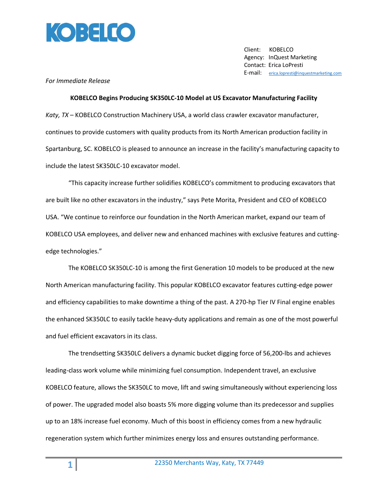

 Client: KOBELCO Agency: InQuest Marketing Contact: Erica LoPresti E-mail: [erica.lopresti@inquestmarketing.com](mailto:erica.lopresti@inquestmarketing.com)

## *For Immediate Release*

**KOBELCO Begins Producing SK350LC-10 Model at US Excavator Manufacturing Facility**  *Katy, TX* – KOBELCO Construction Machinery USA, a world class crawler excavator manufacturer, continues to provide customers with quality products from its North American production facility in Spartanburg, SC. KOBELCO is pleased to announce an increase in the facility's manufacturing capacity to include the latest SK350LC-10 excavator model.

"This capacity increase further solidifies KOBELCO's commitment to producing excavators that are built like no other excavators in the industry," says Pete Morita, President and CEO of KOBELCO USA. "We continue to reinforce our foundation in the North American market, expand our team of KOBELCO USA employees, and deliver new and enhanced machines with exclusive features and cuttingedge technologies."

The KOBELCO SK350LC-10 is among the first Generation 10 models to be produced at the new North American manufacturing facility. This popular KOBELCO excavator features cutting-edge power and efficiency capabilities to make downtime a thing of the past. A 270-hp Tier IV Final engine enables the enhanced SK350LC to easily tackle heavy-duty applications and remain as one of the most powerful and fuel efficient excavators in its class.

The trendsetting SK350LC delivers a dynamic bucket digging force of 56,200-lbs and achieves leading-class work volume while minimizing fuel consumption. Independent travel, an exclusive KOBELCO feature, allows the SK350LC to move, lift and swing simultaneously without experiencing loss of power. The upgraded model also boasts 5% more digging volume than its predecessor and supplies up to an 18% increase fuel economy. Much of this boost in efficiency comes from a new hydraulic regeneration system which further minimizes energy loss and ensures outstanding performance.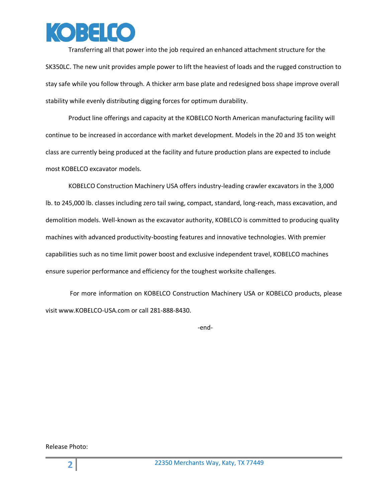

Transferring all that power into the job required an enhanced attachment structure for the SK350LC. The new unit provides ample power to lift the heaviest of loads and the rugged construction to stay safe while you follow through. A thicker arm base plate and redesigned boss shape improve overall stability while evenly distributing digging forces for optimum durability.

Product line offerings and capacity at the KOBELCO North American manufacturing facility will continue to be increased in accordance with market development. Models in the 20 and 35 ton weight class are currently being produced at the facility and future production plans are expected to include most KOBELCO excavator models.

KOBELCO Construction Machinery USA offers industry-leading crawler excavators in the 3,000 lb. to 245,000 lb. classes including zero tail swing, compact, standard, long-reach, mass excavation, and demolition models. Well-known as the excavator authority, KOBELCO is committed to producing quality machines with advanced productivity-boosting features and innovative technologies. With premier capabilities such as no time limit power boost and exclusive independent travel, KOBELCO machines ensure superior performance and efficiency for the toughest worksite challenges.

 For more information on KOBELCO Construction Machinery USA or KOBELCO products, please visit www.KOBELCO-USA.com or call 281-888-8430.

-end-

Release Photo: